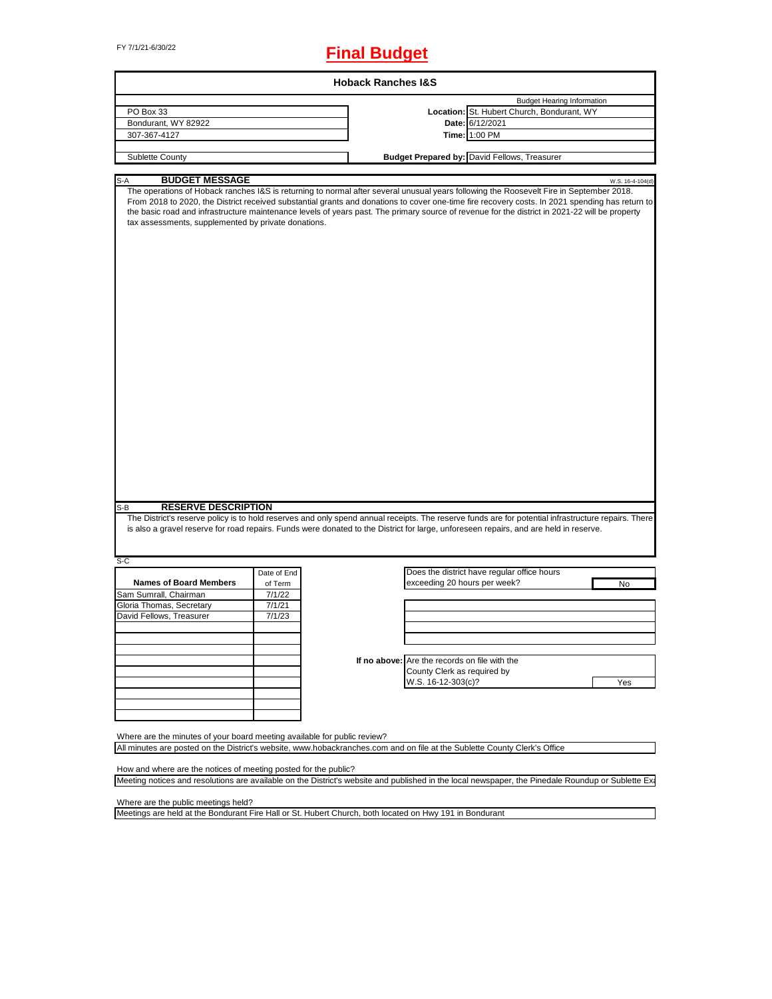# FY 7/1/21-6/30/22 **Final Budget**

|                                                                                                                                                                                                                                                                                                                                                                                                                                                                                                     |             | <b>Hoback Ranches I&amp;S</b> |                                               |                                              |                  |
|-----------------------------------------------------------------------------------------------------------------------------------------------------------------------------------------------------------------------------------------------------------------------------------------------------------------------------------------------------------------------------------------------------------------------------------------------------------------------------------------------------|-------------|-------------------------------|-----------------------------------------------|----------------------------------------------|------------------|
|                                                                                                                                                                                                                                                                                                                                                                                                                                                                                                     |             |                               |                                               | <b>Budget Hearing Information</b>            |                  |
| PO Box 33                                                                                                                                                                                                                                                                                                                                                                                                                                                                                           |             |                               |                                               | Location: St. Hubert Church, Bondurant, WY   |                  |
| Bondurant, WY 82922                                                                                                                                                                                                                                                                                                                                                                                                                                                                                 |             |                               |                                               | Date: 6/12/2021                              |                  |
| 307-367-4127                                                                                                                                                                                                                                                                                                                                                                                                                                                                                        |             |                               |                                               | Time: 1:00 PM                                |                  |
| Sublette County                                                                                                                                                                                                                                                                                                                                                                                                                                                                                     |             |                               |                                               | Budget Prepared by: David Fellows, Treasurer |                  |
|                                                                                                                                                                                                                                                                                                                                                                                                                                                                                                     |             |                               |                                               |                                              |                  |
| <b>BUDGET MESSAGE</b><br>S-A                                                                                                                                                                                                                                                                                                                                                                                                                                                                        |             |                               |                                               |                                              | W.S. 16-4-104(d) |
| The operations of Hoback ranches I&S is returning to normal after several unusual years following the Roosevelt Fire in September 2018.<br>From 2018 to 2020, the District received substantial grants and donations to cover one-time fire recovery costs. In 2021 spending has return to<br>the basic road and infrastructure maintenance levels of years past. The primary source of revenue for the district in 2021-22 will be property<br>tax assessments, supplemented by private donations. |             |                               |                                               |                                              |                  |
|                                                                                                                                                                                                                                                                                                                                                                                                                                                                                                     |             |                               |                                               |                                              |                  |
|                                                                                                                                                                                                                                                                                                                                                                                                                                                                                                     |             |                               |                                               |                                              |                  |
|                                                                                                                                                                                                                                                                                                                                                                                                                                                                                                     |             |                               |                                               |                                              |                  |
|                                                                                                                                                                                                                                                                                                                                                                                                                                                                                                     |             |                               |                                               |                                              |                  |
|                                                                                                                                                                                                                                                                                                                                                                                                                                                                                                     |             |                               |                                               |                                              |                  |
|                                                                                                                                                                                                                                                                                                                                                                                                                                                                                                     |             |                               |                                               |                                              |                  |
|                                                                                                                                                                                                                                                                                                                                                                                                                                                                                                     |             |                               |                                               |                                              |                  |
|                                                                                                                                                                                                                                                                                                                                                                                                                                                                                                     |             |                               |                                               |                                              |                  |
|                                                                                                                                                                                                                                                                                                                                                                                                                                                                                                     |             |                               |                                               |                                              |                  |
|                                                                                                                                                                                                                                                                                                                                                                                                                                                                                                     |             |                               |                                               |                                              |                  |
|                                                                                                                                                                                                                                                                                                                                                                                                                                                                                                     |             |                               |                                               |                                              |                  |
|                                                                                                                                                                                                                                                                                                                                                                                                                                                                                                     |             |                               |                                               |                                              |                  |
|                                                                                                                                                                                                                                                                                                                                                                                                                                                                                                     |             |                               |                                               |                                              |                  |
|                                                                                                                                                                                                                                                                                                                                                                                                                                                                                                     |             |                               |                                               |                                              |                  |
| <b>RESERVE DESCRIPTION</b>                                                                                                                                                                                                                                                                                                                                                                                                                                                                          |             |                               |                                               |                                              |                  |
| The District's reserve policy is to hold reserves and only spend annual receipts. The reserve funds are for potential infrastructure repairs. There<br>is also a gravel reserve for road repairs. Funds were donated to the District for large, unforeseen repairs, and are held in reserve.                                                                                                                                                                                                        |             |                               |                                               |                                              |                  |
|                                                                                                                                                                                                                                                                                                                                                                                                                                                                                                     |             |                               |                                               |                                              |                  |
|                                                                                                                                                                                                                                                                                                                                                                                                                                                                                                     | Date of End |                               |                                               | Does the district have regular office hours  |                  |
| <b>Names of Board Members</b>                                                                                                                                                                                                                                                                                                                                                                                                                                                                       | of Term     |                               | exceeding 20 hours per week?                  |                                              | No               |
|                                                                                                                                                                                                                                                                                                                                                                                                                                                                                                     | 7/1/22      |                               |                                               |                                              |                  |
|                                                                                                                                                                                                                                                                                                                                                                                                                                                                                                     | 7/1/21      |                               |                                               |                                              |                  |
|                                                                                                                                                                                                                                                                                                                                                                                                                                                                                                     | 7/1/23      |                               |                                               |                                              |                  |
|                                                                                                                                                                                                                                                                                                                                                                                                                                                                                                     |             |                               |                                               |                                              |                  |
|                                                                                                                                                                                                                                                                                                                                                                                                                                                                                                     |             |                               |                                               |                                              |                  |
| S-B<br>S-C<br>Sam Sumrall, Chairman<br>Gloria Thomas, Secretary<br>David Fellows, Treasurer                                                                                                                                                                                                                                                                                                                                                                                                         |             |                               | If no above: Are the records on file with the |                                              |                  |
|                                                                                                                                                                                                                                                                                                                                                                                                                                                                                                     |             |                               | County Clerk as required by                   |                                              |                  |
|                                                                                                                                                                                                                                                                                                                                                                                                                                                                                                     |             |                               | W.S. 16-12-303(c)?                            |                                              | Yes              |
|                                                                                                                                                                                                                                                                                                                                                                                                                                                                                                     |             |                               |                                               |                                              |                  |

All minutes are posted on the District's website, www.hobackranches.com and on file at the Sublette County Clerk's Office

How and where are the notices of meeting posted for the public?

Meeting notices and resolutions are available on the District's website and published in the local newspaper, the Pinedale Roundup or Sublette Examinery

Where are the public meetings held?

Meetings are held at the Bondurant Fire Hall or St. Hubert Church, both located on Hwy 191 in Bondurant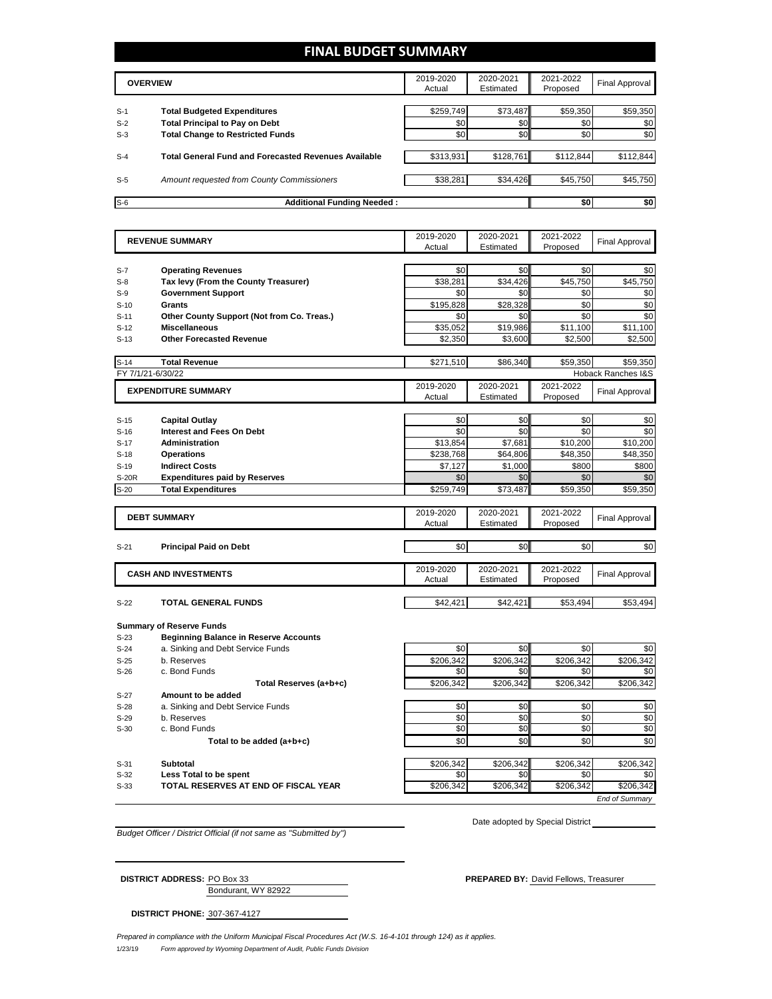### **FINAL BUDGET SUMMARY**

|       | <b>OVERVIEW</b>                                             | 2019-2020<br>Actual | 2020-2021<br>Estimated | 2021-2022<br>Proposed | Final Approval |
|-------|-------------------------------------------------------------|---------------------|------------------------|-----------------------|----------------|
| $S-1$ | <b>Total Budgeted Expenditures</b>                          | \$259,749           | \$73,487               | \$59,350              | \$59,350       |
| $S-2$ | <b>Total Principal to Pay on Debt</b>                       | \$0                 | \$0                    | \$0                   | \$0            |
| $S-3$ | <b>Total Change to Restricted Funds</b>                     | \$0                 | \$0                    | \$0                   | \$0            |
| $S-4$ | <b>Total General Fund and Forecasted Revenues Available</b> | \$313,931           | \$128,761              | \$112,844             | \$112,844      |
| $S-5$ | Amount requested from County Commissioners                  | \$38.281            | \$34.426               | \$45.750              | \$45,750       |
| $S-6$ | <b>Additional Funding Needed:</b>                           |                     |                        | \$0                   | \$0            |

| Actual<br>Estimated<br>Proposed<br>\$0<br>\$0<br>\$0<br>\$0<br><b>Operating Revenues</b><br>$S-7$<br>\$38.281<br>\$34.426<br>\$45.750<br>\$45.750<br>Tax levy (From the County Treasurer)<br>$S-8$<br><b>Government Support</b><br>\$0<br>\$0<br>\$0<br>\$0<br>$S-9$<br>\$0<br>\$0<br>\$195,828<br>\$28,328<br>Grants<br>$S-10$<br>\$0<br>\$0<br>Other County Support (Not from Co. Treas.)<br>\$0<br>\$0<br>$S-11$<br>\$19,986<br><b>Miscellaneous</b><br>\$35,052<br>\$11,100<br>\$11,100<br>$S-12$<br><b>Other Forecasted Revenue</b><br>\$2,350<br>\$3,600<br>\$2,500<br>\$2,500<br>$S-13$<br>\$86,340<br>\$59.350<br><b>Total Revenue</b><br>\$271,510<br>\$59.350<br><b>Hoback Ranches I&amp;S</b><br>FY 7/1/21-6/30/22<br>2021-2022<br>2019-2020<br>2020-2021<br><b>EXPENDITURE SUMMARY</b><br><b>Final Approval</b><br>Actual<br>Estimated<br>Proposed<br>\$0<br>\$0<br>\$0<br><b>Capital Outlay</b><br>\$0<br>\$0<br>\$0<br>\$0<br>\$0<br><b>Interest and Fees On Debt</b><br>\$13,854<br>\$7,681<br><b>Administration</b><br>\$10,200<br>\$10,200<br>$S-17$<br>\$238,768<br>\$64,806<br>\$48,350<br><b>Operations</b><br>\$48,350<br>$S-18$<br>\$800<br><b>Indirect Costs</b><br>\$7,127<br>\$1,000<br>\$800<br>$S-19$<br>\$0<br>\$0<br>\$0<br>\$0<br><b>S-20R</b><br><b>Expenditures paid by Reserves</b><br><b>Total Expenditures</b><br>\$259,749<br>\$73,487<br>\$59,350<br>\$59,350<br>2019-2020<br>2020-2021<br>2021-2022<br><b>DEBT SUMMARY</b><br><b>Final Approval</b><br>Actual<br>Estimated<br>Proposed<br>\$0<br>\$0<br>\$0<br>\$0<br><b>Principal Paid on Debt</b><br>$S-21$<br>2019-2020<br>2020-2021<br>2021-2022<br><b>CASH AND INVESTMENTS</b><br><b>Final Approval</b><br>Actual<br>Estimated<br>Proposed<br>$S-22$<br><b>TOTAL GENERAL FUNDS</b><br>\$42,421<br>\$42,421<br>\$53,494<br>\$53,494<br><b>Summary of Reserve Funds</b><br><b>Beginning Balance in Reserve Accounts</b><br>$S-23$<br>a. Sinking and Debt Service Funds<br>\$0<br>\$0<br>\$0<br>$S-24$<br>\$0<br>b. Reserves<br>\$206,342<br>\$206,342<br>\$206,342<br>\$206,342<br>$S-25$<br>c. Bond Funds<br>\$0<br>\$0<br>\$0<br>\$0<br>$S-26$<br>\$206,342<br>\$206,342<br>\$206,342<br>\$206,342<br>Total Reserves (a+b+c)<br>Amount to be added<br>\$0<br>\$0<br>\$0<br>a. Sinking and Debt Service Funds<br>\$0<br>\$0<br>\$0<br>\$0<br>b. Reserves<br>\$0<br>\$0<br>c. Bond Funds<br>\$0<br>\$0<br>\$0<br>\$0<br>\$0<br>\$0<br>Total to be added (a+b+c)<br><b>Subtotal</b><br>\$206,342<br>\$206,342<br>\$206,342<br>\$206,342<br>\$0<br>\$0<br>\$0<br>\$0<br>Less Total to be spent<br>\$206,342<br>\$206,342<br>\$206,342<br>TOTAL RESERVES AT END OF FISCAL YEAR<br>\$206,342<br>$S-33$ |                  | <b>REVENUE SUMMARY</b> | 2019-2020 | 2020-2021 | 2021-2022 | <b>Final Approval</b> |
|---------------------------------------------------------------------------------------------------------------------------------------------------------------------------------------------------------------------------------------------------------------------------------------------------------------------------------------------------------------------------------------------------------------------------------------------------------------------------------------------------------------------------------------------------------------------------------------------------------------------------------------------------------------------------------------------------------------------------------------------------------------------------------------------------------------------------------------------------------------------------------------------------------------------------------------------------------------------------------------------------------------------------------------------------------------------------------------------------------------------------------------------------------------------------------------------------------------------------------------------------------------------------------------------------------------------------------------------------------------------------------------------------------------------------------------------------------------------------------------------------------------------------------------------------------------------------------------------------------------------------------------------------------------------------------------------------------------------------------------------------------------------------------------------------------------------------------------------------------------------------------------------------------------------------------------------------------------------------------------------------------------------------------------------------------------------------------------------------------------------------------------------------------------------------------------------------------------------------------------------------------------------------------------------------------------------------------------------------------------------------------------------------------------------------------------------------------------------------------------------------------------------------------------------------------------------------------------------------------------------------------------------------------------------------------------------|------------------|------------------------|-----------|-----------|-----------|-----------------------|
|                                                                                                                                                                                                                                                                                                                                                                                                                                                                                                                                                                                                                                                                                                                                                                                                                                                                                                                                                                                                                                                                                                                                                                                                                                                                                                                                                                                                                                                                                                                                                                                                                                                                                                                                                                                                                                                                                                                                                                                                                                                                                                                                                                                                                                                                                                                                                                                                                                                                                                                                                                                                                                                                                             |                  |                        |           |           |           |                       |
|                                                                                                                                                                                                                                                                                                                                                                                                                                                                                                                                                                                                                                                                                                                                                                                                                                                                                                                                                                                                                                                                                                                                                                                                                                                                                                                                                                                                                                                                                                                                                                                                                                                                                                                                                                                                                                                                                                                                                                                                                                                                                                                                                                                                                                                                                                                                                                                                                                                                                                                                                                                                                                                                                             |                  |                        |           |           |           |                       |
|                                                                                                                                                                                                                                                                                                                                                                                                                                                                                                                                                                                                                                                                                                                                                                                                                                                                                                                                                                                                                                                                                                                                                                                                                                                                                                                                                                                                                                                                                                                                                                                                                                                                                                                                                                                                                                                                                                                                                                                                                                                                                                                                                                                                                                                                                                                                                                                                                                                                                                                                                                                                                                                                                             |                  |                        |           |           |           |                       |
|                                                                                                                                                                                                                                                                                                                                                                                                                                                                                                                                                                                                                                                                                                                                                                                                                                                                                                                                                                                                                                                                                                                                                                                                                                                                                                                                                                                                                                                                                                                                                                                                                                                                                                                                                                                                                                                                                                                                                                                                                                                                                                                                                                                                                                                                                                                                                                                                                                                                                                                                                                                                                                                                                             |                  |                        |           |           |           |                       |
|                                                                                                                                                                                                                                                                                                                                                                                                                                                                                                                                                                                                                                                                                                                                                                                                                                                                                                                                                                                                                                                                                                                                                                                                                                                                                                                                                                                                                                                                                                                                                                                                                                                                                                                                                                                                                                                                                                                                                                                                                                                                                                                                                                                                                                                                                                                                                                                                                                                                                                                                                                                                                                                                                             |                  |                        |           |           |           |                       |
|                                                                                                                                                                                                                                                                                                                                                                                                                                                                                                                                                                                                                                                                                                                                                                                                                                                                                                                                                                                                                                                                                                                                                                                                                                                                                                                                                                                                                                                                                                                                                                                                                                                                                                                                                                                                                                                                                                                                                                                                                                                                                                                                                                                                                                                                                                                                                                                                                                                                                                                                                                                                                                                                                             |                  |                        |           |           |           |                       |
|                                                                                                                                                                                                                                                                                                                                                                                                                                                                                                                                                                                                                                                                                                                                                                                                                                                                                                                                                                                                                                                                                                                                                                                                                                                                                                                                                                                                                                                                                                                                                                                                                                                                                                                                                                                                                                                                                                                                                                                                                                                                                                                                                                                                                                                                                                                                                                                                                                                                                                                                                                                                                                                                                             |                  |                        |           |           |           |                       |
|                                                                                                                                                                                                                                                                                                                                                                                                                                                                                                                                                                                                                                                                                                                                                                                                                                                                                                                                                                                                                                                                                                                                                                                                                                                                                                                                                                                                                                                                                                                                                                                                                                                                                                                                                                                                                                                                                                                                                                                                                                                                                                                                                                                                                                                                                                                                                                                                                                                                                                                                                                                                                                                                                             |                  |                        |           |           |           |                       |
|                                                                                                                                                                                                                                                                                                                                                                                                                                                                                                                                                                                                                                                                                                                                                                                                                                                                                                                                                                                                                                                                                                                                                                                                                                                                                                                                                                                                                                                                                                                                                                                                                                                                                                                                                                                                                                                                                                                                                                                                                                                                                                                                                                                                                                                                                                                                                                                                                                                                                                                                                                                                                                                                                             |                  |                        |           |           |           |                       |
|                                                                                                                                                                                                                                                                                                                                                                                                                                                                                                                                                                                                                                                                                                                                                                                                                                                                                                                                                                                                                                                                                                                                                                                                                                                                                                                                                                                                                                                                                                                                                                                                                                                                                                                                                                                                                                                                                                                                                                                                                                                                                                                                                                                                                                                                                                                                                                                                                                                                                                                                                                                                                                                                                             | $S-14$           |                        |           |           |           |                       |
|                                                                                                                                                                                                                                                                                                                                                                                                                                                                                                                                                                                                                                                                                                                                                                                                                                                                                                                                                                                                                                                                                                                                                                                                                                                                                                                                                                                                                                                                                                                                                                                                                                                                                                                                                                                                                                                                                                                                                                                                                                                                                                                                                                                                                                                                                                                                                                                                                                                                                                                                                                                                                                                                                             |                  |                        |           |           |           |                       |
|                                                                                                                                                                                                                                                                                                                                                                                                                                                                                                                                                                                                                                                                                                                                                                                                                                                                                                                                                                                                                                                                                                                                                                                                                                                                                                                                                                                                                                                                                                                                                                                                                                                                                                                                                                                                                                                                                                                                                                                                                                                                                                                                                                                                                                                                                                                                                                                                                                                                                                                                                                                                                                                                                             |                  |                        |           |           |           |                       |
|                                                                                                                                                                                                                                                                                                                                                                                                                                                                                                                                                                                                                                                                                                                                                                                                                                                                                                                                                                                                                                                                                                                                                                                                                                                                                                                                                                                                                                                                                                                                                                                                                                                                                                                                                                                                                                                                                                                                                                                                                                                                                                                                                                                                                                                                                                                                                                                                                                                                                                                                                                                                                                                                                             |                  |                        |           |           |           |                       |
|                                                                                                                                                                                                                                                                                                                                                                                                                                                                                                                                                                                                                                                                                                                                                                                                                                                                                                                                                                                                                                                                                                                                                                                                                                                                                                                                                                                                                                                                                                                                                                                                                                                                                                                                                                                                                                                                                                                                                                                                                                                                                                                                                                                                                                                                                                                                                                                                                                                                                                                                                                                                                                                                                             |                  |                        |           |           |           |                       |
|                                                                                                                                                                                                                                                                                                                                                                                                                                                                                                                                                                                                                                                                                                                                                                                                                                                                                                                                                                                                                                                                                                                                                                                                                                                                                                                                                                                                                                                                                                                                                                                                                                                                                                                                                                                                                                                                                                                                                                                                                                                                                                                                                                                                                                                                                                                                                                                                                                                                                                                                                                                                                                                                                             | $S-15$           |                        |           |           |           |                       |
|                                                                                                                                                                                                                                                                                                                                                                                                                                                                                                                                                                                                                                                                                                                                                                                                                                                                                                                                                                                                                                                                                                                                                                                                                                                                                                                                                                                                                                                                                                                                                                                                                                                                                                                                                                                                                                                                                                                                                                                                                                                                                                                                                                                                                                                                                                                                                                                                                                                                                                                                                                                                                                                                                             | $S-16$           |                        |           |           |           |                       |
|                                                                                                                                                                                                                                                                                                                                                                                                                                                                                                                                                                                                                                                                                                                                                                                                                                                                                                                                                                                                                                                                                                                                                                                                                                                                                                                                                                                                                                                                                                                                                                                                                                                                                                                                                                                                                                                                                                                                                                                                                                                                                                                                                                                                                                                                                                                                                                                                                                                                                                                                                                                                                                                                                             |                  |                        |           |           |           |                       |
|                                                                                                                                                                                                                                                                                                                                                                                                                                                                                                                                                                                                                                                                                                                                                                                                                                                                                                                                                                                                                                                                                                                                                                                                                                                                                                                                                                                                                                                                                                                                                                                                                                                                                                                                                                                                                                                                                                                                                                                                                                                                                                                                                                                                                                                                                                                                                                                                                                                                                                                                                                                                                                                                                             |                  |                        |           |           |           |                       |
|                                                                                                                                                                                                                                                                                                                                                                                                                                                                                                                                                                                                                                                                                                                                                                                                                                                                                                                                                                                                                                                                                                                                                                                                                                                                                                                                                                                                                                                                                                                                                                                                                                                                                                                                                                                                                                                                                                                                                                                                                                                                                                                                                                                                                                                                                                                                                                                                                                                                                                                                                                                                                                                                                             |                  |                        |           |           |           |                       |
|                                                                                                                                                                                                                                                                                                                                                                                                                                                                                                                                                                                                                                                                                                                                                                                                                                                                                                                                                                                                                                                                                                                                                                                                                                                                                                                                                                                                                                                                                                                                                                                                                                                                                                                                                                                                                                                                                                                                                                                                                                                                                                                                                                                                                                                                                                                                                                                                                                                                                                                                                                                                                                                                                             |                  |                        |           |           |           |                       |
|                                                                                                                                                                                                                                                                                                                                                                                                                                                                                                                                                                                                                                                                                                                                                                                                                                                                                                                                                                                                                                                                                                                                                                                                                                                                                                                                                                                                                                                                                                                                                                                                                                                                                                                                                                                                                                                                                                                                                                                                                                                                                                                                                                                                                                                                                                                                                                                                                                                                                                                                                                                                                                                                                             | $S-20$           |                        |           |           |           |                       |
|                                                                                                                                                                                                                                                                                                                                                                                                                                                                                                                                                                                                                                                                                                                                                                                                                                                                                                                                                                                                                                                                                                                                                                                                                                                                                                                                                                                                                                                                                                                                                                                                                                                                                                                                                                                                                                                                                                                                                                                                                                                                                                                                                                                                                                                                                                                                                                                                                                                                                                                                                                                                                                                                                             |                  |                        |           |           |           |                       |
|                                                                                                                                                                                                                                                                                                                                                                                                                                                                                                                                                                                                                                                                                                                                                                                                                                                                                                                                                                                                                                                                                                                                                                                                                                                                                                                                                                                                                                                                                                                                                                                                                                                                                                                                                                                                                                                                                                                                                                                                                                                                                                                                                                                                                                                                                                                                                                                                                                                                                                                                                                                                                                                                                             |                  |                        |           |           |           |                       |
|                                                                                                                                                                                                                                                                                                                                                                                                                                                                                                                                                                                                                                                                                                                                                                                                                                                                                                                                                                                                                                                                                                                                                                                                                                                                                                                                                                                                                                                                                                                                                                                                                                                                                                                                                                                                                                                                                                                                                                                                                                                                                                                                                                                                                                                                                                                                                                                                                                                                                                                                                                                                                                                                                             |                  |                        |           |           |           |                       |
|                                                                                                                                                                                                                                                                                                                                                                                                                                                                                                                                                                                                                                                                                                                                                                                                                                                                                                                                                                                                                                                                                                                                                                                                                                                                                                                                                                                                                                                                                                                                                                                                                                                                                                                                                                                                                                                                                                                                                                                                                                                                                                                                                                                                                                                                                                                                                                                                                                                                                                                                                                                                                                                                                             |                  |                        |           |           |           |                       |
|                                                                                                                                                                                                                                                                                                                                                                                                                                                                                                                                                                                                                                                                                                                                                                                                                                                                                                                                                                                                                                                                                                                                                                                                                                                                                                                                                                                                                                                                                                                                                                                                                                                                                                                                                                                                                                                                                                                                                                                                                                                                                                                                                                                                                                                                                                                                                                                                                                                                                                                                                                                                                                                                                             |                  |                        |           |           |           |                       |
|                                                                                                                                                                                                                                                                                                                                                                                                                                                                                                                                                                                                                                                                                                                                                                                                                                                                                                                                                                                                                                                                                                                                                                                                                                                                                                                                                                                                                                                                                                                                                                                                                                                                                                                                                                                                                                                                                                                                                                                                                                                                                                                                                                                                                                                                                                                                                                                                                                                                                                                                                                                                                                                                                             |                  |                        |           |           |           |                       |
|                                                                                                                                                                                                                                                                                                                                                                                                                                                                                                                                                                                                                                                                                                                                                                                                                                                                                                                                                                                                                                                                                                                                                                                                                                                                                                                                                                                                                                                                                                                                                                                                                                                                                                                                                                                                                                                                                                                                                                                                                                                                                                                                                                                                                                                                                                                                                                                                                                                                                                                                                                                                                                                                                             |                  |                        |           |           |           |                       |
|                                                                                                                                                                                                                                                                                                                                                                                                                                                                                                                                                                                                                                                                                                                                                                                                                                                                                                                                                                                                                                                                                                                                                                                                                                                                                                                                                                                                                                                                                                                                                                                                                                                                                                                                                                                                                                                                                                                                                                                                                                                                                                                                                                                                                                                                                                                                                                                                                                                                                                                                                                                                                                                                                             |                  |                        |           |           |           |                       |
|                                                                                                                                                                                                                                                                                                                                                                                                                                                                                                                                                                                                                                                                                                                                                                                                                                                                                                                                                                                                                                                                                                                                                                                                                                                                                                                                                                                                                                                                                                                                                                                                                                                                                                                                                                                                                                                                                                                                                                                                                                                                                                                                                                                                                                                                                                                                                                                                                                                                                                                                                                                                                                                                                             |                  |                        |           |           |           |                       |
|                                                                                                                                                                                                                                                                                                                                                                                                                                                                                                                                                                                                                                                                                                                                                                                                                                                                                                                                                                                                                                                                                                                                                                                                                                                                                                                                                                                                                                                                                                                                                                                                                                                                                                                                                                                                                                                                                                                                                                                                                                                                                                                                                                                                                                                                                                                                                                                                                                                                                                                                                                                                                                                                                             |                  |                        |           |           |           |                       |
|                                                                                                                                                                                                                                                                                                                                                                                                                                                                                                                                                                                                                                                                                                                                                                                                                                                                                                                                                                                                                                                                                                                                                                                                                                                                                                                                                                                                                                                                                                                                                                                                                                                                                                                                                                                                                                                                                                                                                                                                                                                                                                                                                                                                                                                                                                                                                                                                                                                                                                                                                                                                                                                                                             |                  |                        |           |           |           |                       |
|                                                                                                                                                                                                                                                                                                                                                                                                                                                                                                                                                                                                                                                                                                                                                                                                                                                                                                                                                                                                                                                                                                                                                                                                                                                                                                                                                                                                                                                                                                                                                                                                                                                                                                                                                                                                                                                                                                                                                                                                                                                                                                                                                                                                                                                                                                                                                                                                                                                                                                                                                                                                                                                                                             |                  |                        |           |           |           |                       |
|                                                                                                                                                                                                                                                                                                                                                                                                                                                                                                                                                                                                                                                                                                                                                                                                                                                                                                                                                                                                                                                                                                                                                                                                                                                                                                                                                                                                                                                                                                                                                                                                                                                                                                                                                                                                                                                                                                                                                                                                                                                                                                                                                                                                                                                                                                                                                                                                                                                                                                                                                                                                                                                                                             |                  |                        |           |           |           |                       |
|                                                                                                                                                                                                                                                                                                                                                                                                                                                                                                                                                                                                                                                                                                                                                                                                                                                                                                                                                                                                                                                                                                                                                                                                                                                                                                                                                                                                                                                                                                                                                                                                                                                                                                                                                                                                                                                                                                                                                                                                                                                                                                                                                                                                                                                                                                                                                                                                                                                                                                                                                                                                                                                                                             |                  |                        |           |           |           |                       |
|                                                                                                                                                                                                                                                                                                                                                                                                                                                                                                                                                                                                                                                                                                                                                                                                                                                                                                                                                                                                                                                                                                                                                                                                                                                                                                                                                                                                                                                                                                                                                                                                                                                                                                                                                                                                                                                                                                                                                                                                                                                                                                                                                                                                                                                                                                                                                                                                                                                                                                                                                                                                                                                                                             |                  |                        |           |           |           |                       |
|                                                                                                                                                                                                                                                                                                                                                                                                                                                                                                                                                                                                                                                                                                                                                                                                                                                                                                                                                                                                                                                                                                                                                                                                                                                                                                                                                                                                                                                                                                                                                                                                                                                                                                                                                                                                                                                                                                                                                                                                                                                                                                                                                                                                                                                                                                                                                                                                                                                                                                                                                                                                                                                                                             |                  |                        |           |           |           |                       |
|                                                                                                                                                                                                                                                                                                                                                                                                                                                                                                                                                                                                                                                                                                                                                                                                                                                                                                                                                                                                                                                                                                                                                                                                                                                                                                                                                                                                                                                                                                                                                                                                                                                                                                                                                                                                                                                                                                                                                                                                                                                                                                                                                                                                                                                                                                                                                                                                                                                                                                                                                                                                                                                                                             |                  |                        |           |           |           |                       |
|                                                                                                                                                                                                                                                                                                                                                                                                                                                                                                                                                                                                                                                                                                                                                                                                                                                                                                                                                                                                                                                                                                                                                                                                                                                                                                                                                                                                                                                                                                                                                                                                                                                                                                                                                                                                                                                                                                                                                                                                                                                                                                                                                                                                                                                                                                                                                                                                                                                                                                                                                                                                                                                                                             | $S-27$           |                        |           |           |           |                       |
|                                                                                                                                                                                                                                                                                                                                                                                                                                                                                                                                                                                                                                                                                                                                                                                                                                                                                                                                                                                                                                                                                                                                                                                                                                                                                                                                                                                                                                                                                                                                                                                                                                                                                                                                                                                                                                                                                                                                                                                                                                                                                                                                                                                                                                                                                                                                                                                                                                                                                                                                                                                                                                                                                             | $S-28$           |                        |           |           |           | \$0                   |
|                                                                                                                                                                                                                                                                                                                                                                                                                                                                                                                                                                                                                                                                                                                                                                                                                                                                                                                                                                                                                                                                                                                                                                                                                                                                                                                                                                                                                                                                                                                                                                                                                                                                                                                                                                                                                                                                                                                                                                                                                                                                                                                                                                                                                                                                                                                                                                                                                                                                                                                                                                                                                                                                                             | $S-29$           |                        |           |           |           |                       |
|                                                                                                                                                                                                                                                                                                                                                                                                                                                                                                                                                                                                                                                                                                                                                                                                                                                                                                                                                                                                                                                                                                                                                                                                                                                                                                                                                                                                                                                                                                                                                                                                                                                                                                                                                                                                                                                                                                                                                                                                                                                                                                                                                                                                                                                                                                                                                                                                                                                                                                                                                                                                                                                                                             | $S-30$           |                        |           |           |           |                       |
|                                                                                                                                                                                                                                                                                                                                                                                                                                                                                                                                                                                                                                                                                                                                                                                                                                                                                                                                                                                                                                                                                                                                                                                                                                                                                                                                                                                                                                                                                                                                                                                                                                                                                                                                                                                                                                                                                                                                                                                                                                                                                                                                                                                                                                                                                                                                                                                                                                                                                                                                                                                                                                                                                             |                  |                        |           |           |           |                       |
|                                                                                                                                                                                                                                                                                                                                                                                                                                                                                                                                                                                                                                                                                                                                                                                                                                                                                                                                                                                                                                                                                                                                                                                                                                                                                                                                                                                                                                                                                                                                                                                                                                                                                                                                                                                                                                                                                                                                                                                                                                                                                                                                                                                                                                                                                                                                                                                                                                                                                                                                                                                                                                                                                             |                  |                        |           |           |           |                       |
|                                                                                                                                                                                                                                                                                                                                                                                                                                                                                                                                                                                                                                                                                                                                                                                                                                                                                                                                                                                                                                                                                                                                                                                                                                                                                                                                                                                                                                                                                                                                                                                                                                                                                                                                                                                                                                                                                                                                                                                                                                                                                                                                                                                                                                                                                                                                                                                                                                                                                                                                                                                                                                                                                             | $S-31$<br>$S-32$ |                        |           |           |           |                       |

*Budget Officer / District Official (if not same as "Submitted by")*

Date adopted by Special District

*End of Summary*

Bondurant, WY 82922 **DISTRICT ADDRESS:** PO Box 33 **PO Box 33 PREPARED BY:** David Fellows, Treasurer

**DISTRICT PHONE:** 307-367-4127

1/23/19 *Form approved by Wyoming Department of Audit, Public Funds Division Prepared in compliance with the Uniform Municipal Fiscal Procedures Act (W.S. 16-4-101 through 124) as it applies.*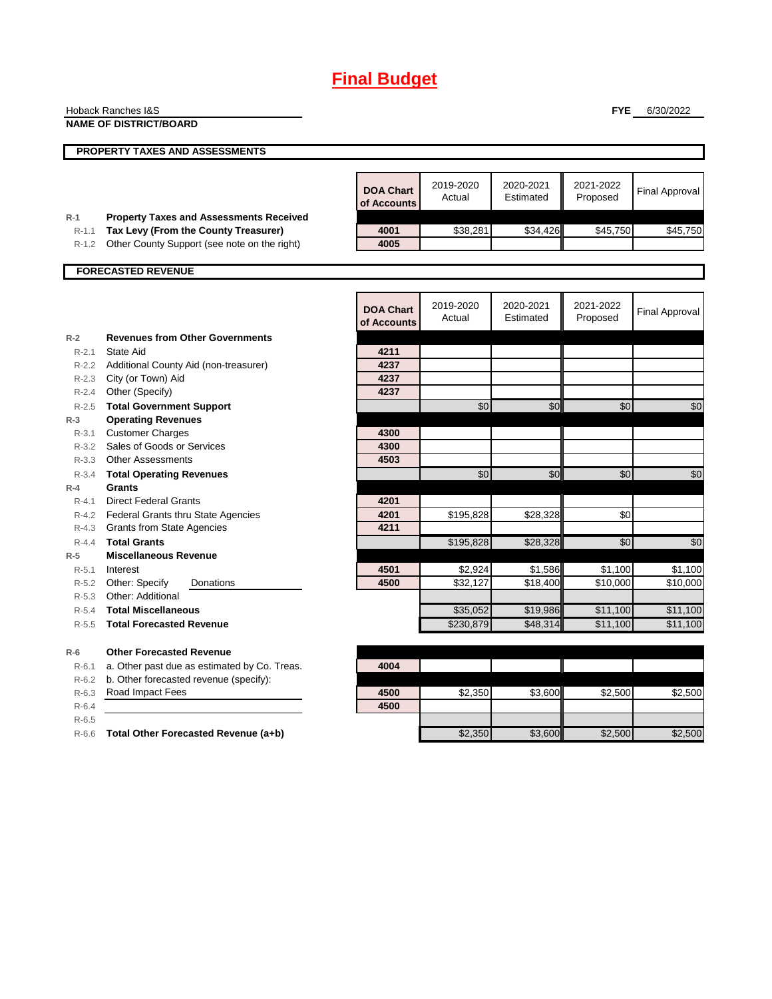# **Final Budget**

|           | Hoback Ranches I&S                             |                  |           |           | <b>FYE</b> | 6/30/2022             |
|-----------|------------------------------------------------|------------------|-----------|-----------|------------|-----------------------|
|           | <b>NAME OF DISTRICT/BOARD</b>                  |                  |           |           |            |                       |
|           |                                                |                  |           |           |            |                       |
|           | <b>PROPERTY TAXES AND ASSESSMENTS</b>          |                  |           |           |            |                       |
|           |                                                |                  |           |           |            |                       |
|           |                                                |                  | 2019-2020 | 2020-2021 | 2021-2022  |                       |
|           |                                                | <b>DOA Chart</b> | Actual    | Estimated | Proposed   | <b>Final Approval</b> |
|           |                                                | of Accounts      |           |           |            |                       |
| $R-1$     | <b>Property Taxes and Assessments Received</b> |                  |           |           |            |                       |
| $R-1.1$   | Tax Levy (From the County Treasurer)           | 4001             | \$38,281  | \$34,426  | \$45,750   | \$45,750              |
| R-1.2     | Other County Support (see note on the right)   | 4005             |           |           |            |                       |
|           | <b>FORECASTED REVENUE</b>                      |                  |           |           |            |                       |
|           |                                                |                  |           |           |            |                       |
|           |                                                |                  |           |           |            |                       |
|           |                                                | <b>DOA Chart</b> | 2019-2020 | 2020-2021 | 2021-2022  | <b>Final Approval</b> |
|           |                                                | of Accounts      | Actual    | Estimated | Proposed   |                       |
| $R-2$     | <b>Revenues from Other Governments</b>         |                  |           |           |            |                       |
| $R - 2.1$ | State Aid                                      | 4211             |           |           |            |                       |
| R-2.2     | Additional County Aid (non-treasurer)          | 4237             |           |           |            |                       |
| R-2.3     | City (or Town) Aid                             | 4237             |           |           |            |                       |
| $R-2.4$   | Other (Specify)                                | 4237             |           |           |            |                       |
| $R - 2.5$ | <b>Total Government Support</b>                |                  | \$0       | \$0       | \$0        | \$0                   |
| $R-3$     | <b>Operating Revenues</b>                      |                  |           |           |            |                       |
| R-3.1     | <b>Customer Charges</b>                        | 4300             |           |           |            |                       |
| R-3.2     | Sales of Goods or Services                     | 4300             |           |           |            |                       |
| R-3.3     | <b>Other Assessments</b>                       | 4503             |           |           |            |                       |
| $R - 3.4$ | <b>Total Operating Revenues</b>                |                  | \$0       | \$0       | \$0        | \$0                   |
| $R-4$     | Grants                                         |                  |           |           |            |                       |
| $R-4.1$   | <b>Direct Federal Grants</b>                   | 4201             |           |           |            |                       |
| R-4.2     | <b>Federal Grants thru State Agencies</b>      | 4201             | \$195,828 | \$28,328  | \$0        |                       |
| R-4.3     | <b>Grants from State Agencies</b>              | 4211             |           |           |            |                       |
| $R - 4.4$ | <b>Total Grants</b>                            |                  | \$195,828 | \$28,328  | \$0        | \$0                   |
| $R-5$     | <b>Miscellaneous Revenue</b>                   |                  |           |           |            |                       |
| $R-5.1$   | Interest                                       | 4501             | \$2,924   | \$1,586   | \$1,100    | \$1,100               |
| R-5.2     | Other: Specify<br>Donations                    | 4500             | \$32,127  | \$18,400  | \$10,000   | \$10,000              |
| $R - 5.3$ | Other: Additional                              |                  |           |           |            |                       |
| $R-5.4$   | <b>Total Miscellaneous</b>                     |                  | \$35,052  | \$19,986  | \$11,100   | \$11,100              |
| $R - 5.5$ | <b>Total Forecasted Revenue</b>                |                  | \$230,879 | \$48,314  | \$11,100   | \$11,100              |
| $R-6$     | <b>Other Forecasted Revenue</b>                |                  |           |           |            |                       |
| R-6.1     | a. Other past due as estimated by Co. Treas.   | 4004             |           |           |            |                       |
| $R-6.2$   | b. Other forecasted revenue (specify):         |                  |           |           |            |                       |
| $R-6.3$   | Road Impact Fees                               | 4500             | \$2,350   | \$3,600   | \$2,500    | \$2,500               |
| $R-6.4$   |                                                | 4500             |           |           |            |                       |
| $R-6.5$   |                                                |                  |           |           |            |                       |
| $R-6.6$   | Total Other Forecasted Revenue (a+b)           |                  | \$2,350   | \$3,600   | \$2,500    | \$2,500               |
|           |                                                |                  |           |           |            |                       |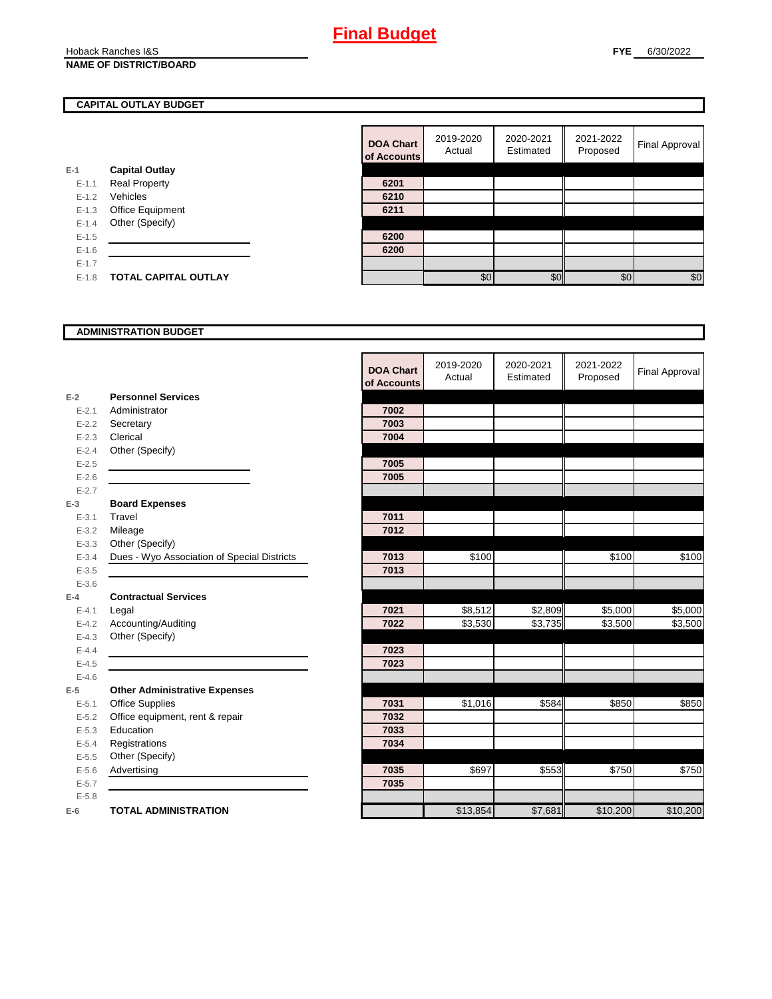#### Hoback Ranches I&S **NAME OF DISTRICT/BOARD**

#### **CAPITAL OUTLAY BUDGET**

|           |                       | <u>UI AUUU</u> |
|-----------|-----------------------|----------------|
| E-1       | <b>Capital Outlay</b> |                |
| $E - 1.1$ | <b>Real Property</b>  | 6201           |
| $E - 1.2$ | Vehicles              | 6210           |
| $E-1.3$   | Office Equipment      | 6211           |
| $E - 1.4$ | Other (Specify)       |                |
| $E - 1.5$ |                       | 6200           |
| $E - 1.6$ |                       | 6200           |
| $E-1.7$   |                       |                |
| $E-1.8$   | TOTAL CAPITAL OUTLAY  |                |
|           |                       |                |

| <b>DOA Chart</b><br>of Accounts | 2019-2020<br>Actual | 2020-2021<br>Estimated | 2021-2022<br>Proposed | <b>Final Approval</b> |
|---------------------------------|---------------------|------------------------|-----------------------|-----------------------|
|                                 |                     |                        |                       |                       |
| 6201                            |                     |                        |                       |                       |
| 6210                            |                     |                        |                       |                       |
| 6211                            |                     |                        |                       |                       |
|                                 |                     |                        |                       |                       |
| 6200                            |                     |                        |                       |                       |
| 6200                            |                     |                        |                       |                       |
|                                 |                     |                        |                       |                       |
|                                 | \$0                 |                        | \$በ                   | \$0                   |

#### **ADMINISTRATION BUDGET**

|           |                                             | <b>DOA Chart</b><br>of Accounts | 2019-2020<br>Actual | 2020-2021<br>Estimated | 2021-2022<br>Proposed | <b>Final Approval</b> |
|-----------|---------------------------------------------|---------------------------------|---------------------|------------------------|-----------------------|-----------------------|
| $E-2$     | <b>Personnel Services</b>                   |                                 |                     |                        |                       |                       |
| $E - 2.1$ | Administrator                               | 7002                            |                     |                        |                       |                       |
| $E - 2.2$ | Secretary                                   | 7003                            |                     |                        |                       |                       |
| $E - 2.3$ | Clerical                                    | 7004                            |                     |                        |                       |                       |
| $E - 2.4$ | Other (Specify)                             |                                 |                     |                        |                       |                       |
| $E - 2.5$ |                                             | 7005                            |                     |                        |                       |                       |
| $E - 2.6$ |                                             | 7005                            |                     |                        |                       |                       |
| $E - 2.7$ |                                             |                                 |                     |                        |                       |                       |
| $E-3$     | <b>Board Expenses</b>                       |                                 |                     |                        |                       |                       |
| $E - 3.1$ | Travel                                      | 7011                            |                     |                        |                       |                       |
| $E - 3.2$ | Mileage                                     | 7012                            |                     |                        |                       |                       |
| $E - 3.3$ | Other (Specify)                             |                                 |                     |                        |                       |                       |
| $E - 3.4$ | Dues - Wyo Association of Special Districts | 7013                            | \$100               |                        | \$100                 | \$100                 |
| $E - 3.5$ |                                             | 7013                            |                     |                        |                       |                       |
| $E-3.6$   |                                             |                                 |                     |                        |                       |                       |
| $E-4$     | <b>Contractual Services</b>                 |                                 |                     |                        |                       |                       |
| $E - 4.1$ | Legal                                       | 7021                            | \$8,512             | \$2,809                | \$5,000               | \$5,000               |
| $E - 4.2$ | Accounting/Auditing                         | 7022                            | \$3,530             | \$3,735                | \$3,500               | \$3,500               |
| $E - 4.3$ | Other (Specify)                             |                                 |                     |                        |                       |                       |
| $E - 4.4$ |                                             | 7023                            |                     |                        |                       |                       |
| $E-4.5$   |                                             | 7023                            |                     |                        |                       |                       |
| $E-4.6$   |                                             |                                 |                     |                        |                       |                       |
| $E-5$     | <b>Other Administrative Expenses</b>        |                                 |                     |                        |                       |                       |
| $E - 5.1$ | <b>Office Supplies</b>                      | 7031                            | \$1,016             | \$584                  | \$850                 | \$850                 |
| $E-5.2$   | Office equipment, rent & repair             | 7032                            |                     |                        |                       |                       |
| $E - 5.3$ | Education                                   | 7033                            |                     |                        |                       |                       |
| $E - 5.4$ | Registrations                               | 7034                            |                     |                        |                       |                       |
| $E - 5.5$ | Other (Specify)                             |                                 |                     |                        |                       |                       |
| $E - 5.6$ | Advertising                                 | 7035                            | \$697               | \$553                  | \$750                 | \$750                 |
| $E - 5.7$ |                                             | 7035                            |                     |                        |                       |                       |
| $E - 5.8$ |                                             |                                 |                     |                        |                       |                       |
| $E-6$     | <b>TOTAL ADMINISTRATION</b>                 |                                 | \$13,854            | \$7,681                | \$10,200              | \$10,200              |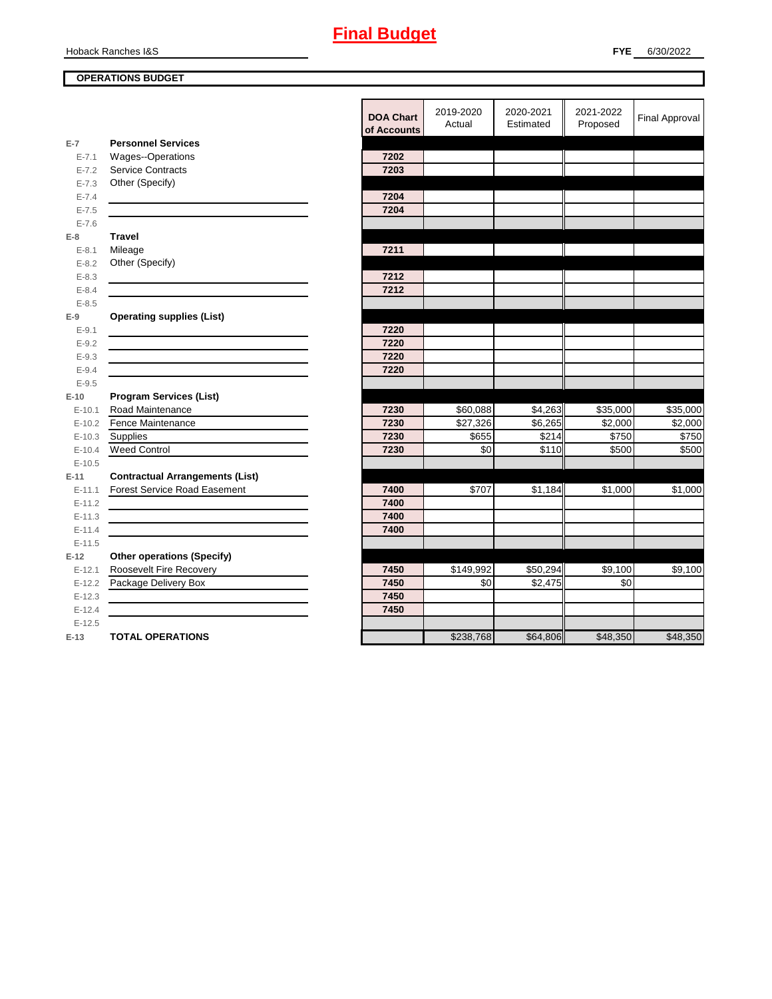#### Hoback Ranches I&S

### **OPERATIONS BUDGET**

|           |                                        | <b>DOA Chart</b><br>of Accounts | 2019-2020<br>Actual | 2020-2021<br>Estimated | 2021-2022<br>Proposed | <b>Final Approval</b> |
|-----------|----------------------------------------|---------------------------------|---------------------|------------------------|-----------------------|-----------------------|
| $E-7$     | <b>Personnel Services</b>              |                                 |                     |                        |                       |                       |
| $E - 7.1$ | Wages--Operations                      | 7202                            |                     |                        |                       |                       |
| $E - 7.2$ | <b>Service Contracts</b>               | 7203                            |                     |                        |                       |                       |
| $E - 7.3$ | Other (Specify)                        |                                 |                     |                        |                       |                       |
| $E - 7.4$ |                                        | 7204                            |                     |                        |                       |                       |
| $E - 7.5$ |                                        | 7204                            |                     |                        |                       |                       |
| $E - 7.6$ |                                        |                                 |                     |                        |                       |                       |
| E-8       | <b>Travel</b>                          |                                 |                     |                        |                       |                       |
| $E - 8.1$ | Mileage                                | 7211                            |                     |                        |                       |                       |
| $E - 8.2$ | Other (Specify)                        |                                 |                     |                        |                       |                       |
| $E - 8.3$ |                                        | 7212                            |                     |                        |                       |                       |
| $E - 8.4$ |                                        | 7212                            |                     |                        |                       |                       |
| $E - 8.5$ |                                        |                                 |                     |                        |                       |                       |
| $E-9$     | <b>Operating supplies (List)</b>       |                                 |                     |                        |                       |                       |
| $E - 9.1$ |                                        | 7220                            |                     |                        |                       |                       |
| $E - 9.2$ |                                        | 7220                            |                     |                        |                       |                       |
| $E - 9.3$ |                                        | 7220                            |                     |                        |                       |                       |
| $E - 9.4$ |                                        | 7220                            |                     |                        |                       |                       |
| $E - 9.5$ |                                        |                                 |                     |                        |                       |                       |
| $E-10$    | <b>Program Services (List)</b>         |                                 |                     |                        |                       |                       |
| $E-10.1$  | Road Maintenance                       | 7230                            | \$60,088            | \$4,263                | \$35,000              | \$35,000              |
| $E-10.2$  | Fence Maintenance                      | 7230                            | \$27,326            | \$6,265                | \$2,000               | \$2,000               |
| $E-10.3$  | Supplies                               | 7230                            | \$655               | \$214                  | \$750                 | \$750                 |
| $E-10.4$  | <b>Weed Control</b>                    | 7230                            | \$0                 | \$110                  | \$500                 | \$500                 |
| $E-10.5$  |                                        |                                 |                     |                        |                       |                       |
| $E-11$    | <b>Contractual Arrangements (List)</b> |                                 |                     |                        |                       |                       |
| $E-11.1$  | <b>Forest Service Road Easement</b>    | 7400                            | \$707               | \$1,184                | \$1,000               | \$1,000               |
| $E-11.2$  |                                        | 7400                            |                     |                        |                       |                       |
| $E-11.3$  |                                        | 7400                            |                     |                        |                       |                       |
| $E-11.4$  |                                        | 7400                            |                     |                        |                       |                       |
| $E-11.5$  |                                        |                                 |                     |                        |                       |                       |
| E-12      | <b>Other operations (Specify)</b>      |                                 |                     |                        |                       |                       |
| $E-12.1$  | Roosevelt Fire Recovery                | 7450                            | \$149,992           | \$50,294               | \$9,100               | \$9,100               |
| $E-12.2$  | Package Delivery Box                   | 7450                            | \$0                 | \$2,475                | \$0                   |                       |
| $E-12.3$  |                                        | 7450                            |                     |                        |                       |                       |
| $E-12.4$  |                                        | 7450                            |                     |                        |                       |                       |
| $E-12.5$  |                                        |                                 |                     |                        |                       |                       |
| $E-13$    | <b>TOTAL OPERATIONS</b>                |                                 | \$238,768           | \$64,806               | \$48,350              | \$48,350              |
|           |                                        |                                 |                     |                        |                       |                       |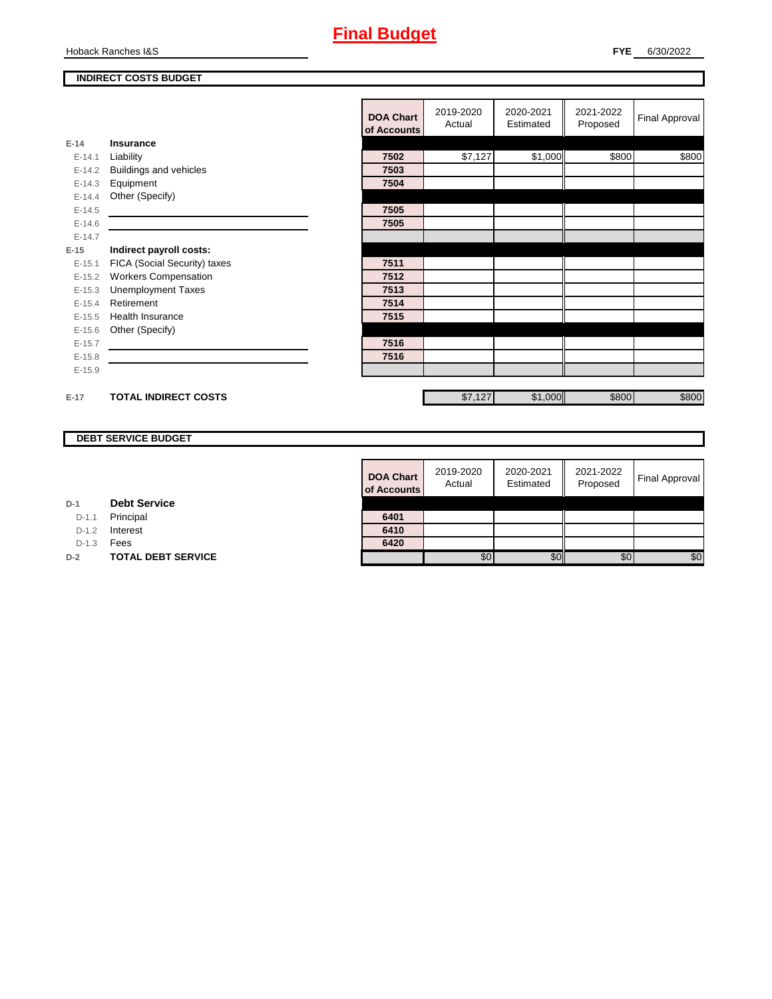

Hoback Ranches I&S

### **INDIRECT COSTS BUDGET**

|          |                              | <b>DOA Chart</b><br>of Accounts | 2019-2020<br>Actual | 2020-2021<br>Estimated | 2021-2022<br>Proposed | Final Approval |
|----------|------------------------------|---------------------------------|---------------------|------------------------|-----------------------|----------------|
| $E-14$   | <b>Insurance</b>             |                                 |                     |                        |                       |                |
| $E-14.1$ | Liability                    | 7502                            | \$7,127             | \$1,000                | \$800                 | \$800          |
| $E-14.2$ | Buildings and vehicles       | 7503                            |                     |                        |                       |                |
| $E-14.3$ | Equipment                    | 7504                            |                     |                        |                       |                |
| $E-14.4$ | Other (Specify)              |                                 |                     |                        |                       |                |
| $E-14.5$ |                              | 7505                            |                     |                        |                       |                |
| $E-14.6$ |                              | 7505                            |                     |                        |                       |                |
| $E-14.7$ |                              |                                 |                     |                        |                       |                |
| $E-15$   | Indirect payroll costs:      |                                 |                     |                        |                       |                |
| $E-15.1$ | FICA (Social Security) taxes | 7511                            |                     |                        |                       |                |
| $E-15.2$ | <b>Workers Compensation</b>  | 7512                            |                     |                        |                       |                |
| $E-15.3$ | <b>Unemployment Taxes</b>    | 7513                            |                     |                        |                       |                |
| $E-15.4$ | Retirement                   | 7514                            |                     |                        |                       |                |
| $E-15.5$ | <b>Health Insurance</b>      | 7515                            |                     |                        |                       |                |
| $E-15.6$ | Other (Specify)              |                                 |                     |                        |                       |                |
| $E-15.7$ |                              | 7516                            |                     |                        |                       |                |
| $E-15.8$ |                              | 7516                            |                     |                        |                       |                |
| $E-15.9$ |                              |                                 |                     |                        |                       |                |
|          |                              |                                 |                     |                        |                       |                |
| $E-17$   | <b>TOTAL INDIRECT COSTS</b>  |                                 | \$7,127             | \$1,000                | \$800                 | \$800          |

#### **DEBT SERVICE BUDGET**

| <b>DOA Chart</b><br>of Accounts | 2019-2020<br>Actual | 2020-2021<br>Estimated | 2021-2022<br>Proposed | <b>Final Approval</b> |
|---------------------------------|---------------------|------------------------|-----------------------|-----------------------|
|                                 |                     |                        |                       |                       |
| 6401                            |                     |                        |                       |                       |
| 6410                            |                     |                        |                       |                       |
| 6420                            |                     |                        |                       |                       |
|                                 | SO.                 |                        | £ſ.                   | \$O                   |

| D-1 | <b>Debt Service</b> |
|-----|---------------------|
|     |                     |

D-1.1 Principal

D-1.2 **Interest** 

D-1.3 **Fees** 

**D-2 TOTAL DEBT SERVICE**